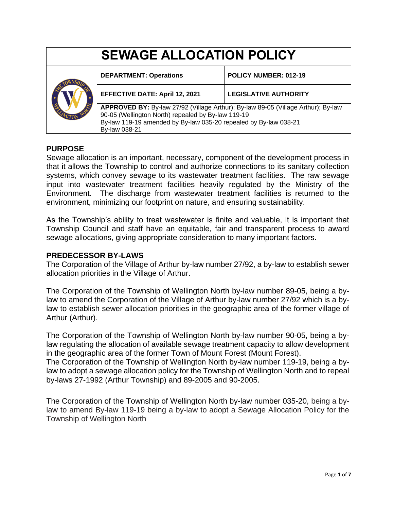| <b>SEWAGE ALLOCATION POLICY</b> |                                                                                                                                                                                                                              |                              |
|---------------------------------|------------------------------------------------------------------------------------------------------------------------------------------------------------------------------------------------------------------------------|------------------------------|
|                                 | <b>DEPARTMENT: Operations</b>                                                                                                                                                                                                | POLICY NUMBER: 012-19        |
|                                 | <b>EFFECTIVE DATE: April 12, 2021</b>                                                                                                                                                                                        | <b>LEGISLATIVE AUTHORITY</b> |
|                                 | APPROVED BY: By-law 27/92 (Village Arthur); By-law 89-05 (Village Arthur); By-law<br>90-05 (Wellington North) repealed by By-law 119-19<br>By-law 119-19 amended by By-law 035-20 repealed by By-law 038-21<br>By-law 038-21 |                              |

#### **PURPOSE**

Sewage allocation is an important, necessary, component of the development process in that it allows the Township to control and authorize connections to its sanitary collection systems, which convey sewage to its wastewater treatment facilities. The raw sewage input into wastewater treatment facilities heavily regulated by the Ministry of the Environment. The discharge from wastewater treatment facilities is returned to the environment, minimizing our footprint on nature, and ensuring sustainability.

As the Township's ability to treat wastewater is finite and valuable, it is important that Township Council and staff have an equitable, fair and transparent process to award sewage allocations, giving appropriate consideration to many important factors.

#### **PREDECESSOR BY-LAWS**

The Corporation of the Village of Arthur by-law number 27/92, a by-law to establish sewer allocation priorities in the Village of Arthur.

The Corporation of the Township of Wellington North by-law number 89-05, being a bylaw to amend the Corporation of the Village of Arthur by-law number 27/92 which is a bylaw to establish sewer allocation priorities in the geographic area of the former village of Arthur (Arthur).

The Corporation of the Township of Wellington North by-law number 90-05, being a bylaw regulating the allocation of available sewage treatment capacity to allow development in the geographic area of the former Town of Mount Forest (Mount Forest).

The Corporation of the Township of Wellington North by-law number 119-19, being a bylaw to adopt a sewage allocation policy for the Township of Wellington North and to repeal by-laws 27-1992 (Arthur Township) and 89-2005 and 90-2005.

The Corporation of the Township of Wellington North by-law number 035-20, being a bylaw to amend By-law 119-19 being a by-law to adopt a Sewage Allocation Policy for the Township of Wellington North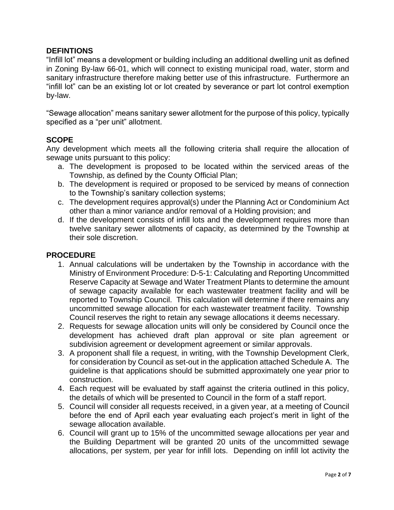## **DEFINTIONS**

"Infill lot" means a development or building including an additional dwelling unit as defined in Zoning By-law 66-01, which will connect to existing municipal road, water, storm and sanitary infrastructure therefore making better use of this infrastructure. Furthermore an "infill lot" can be an existing lot or lot created by severance or part lot control exemption by-law.

"Sewage allocation" means sanitary sewer allotment for the purpose of this policy, typically specified as a "per unit" allotment.

## **SCOPE**

Any development which meets all the following criteria shall require the allocation of sewage units pursuant to this policy:

- a. The development is proposed to be located within the serviced areas of the Township, as defined by the County Official Plan;
- b. The development is required or proposed to be serviced by means of connection to the Township's sanitary collection systems;
- c. The development requires approval(s) under the Planning Act or Condominium Act other than a minor variance and/or removal of a Holding provision; and
- d. If the development consists of infill lots and the development requires more than twelve sanitary sewer allotments of capacity, as determined by the Township at their sole discretion.

## **PROCEDURE**

- 1. Annual calculations will be undertaken by the Township in accordance with the Ministry of Environment Procedure: D-5-1: Calculating and Reporting Uncommitted Reserve Capacity at Sewage and Water Treatment Plants to determine the amount of sewage capacity available for each wastewater treatment facility and will be reported to Township Council. This calculation will determine if there remains any uncommitted sewage allocation for each wastewater treatment facility. Township Council reserves the right to retain any sewage allocations it deems necessary.
- 2. Requests for sewage allocation units will only be considered by Council once the development has achieved draft plan approval or site plan agreement or subdivision agreement or development agreement or similar approvals.
- 3. A proponent shall file a request, in writing, with the Township Development Clerk, for consideration by Council as set-out in the application attached Schedule A. The guideline is that applications should be submitted approximately one year prior to construction.
- 4. Each request will be evaluated by staff against the criteria outlined in this policy, the details of which will be presented to Council in the form of a staff report.
- 5. Council will consider all requests received, in a given year, at a meeting of Council before the end of April each year evaluating each project's merit in light of the sewage allocation available.
- 6. Council will grant up to 15% of the uncommitted sewage allocations per year and the Building Department will be granted 20 units of the uncommitted sewage allocations, per system, per year for infill lots. Depending on infill lot activity the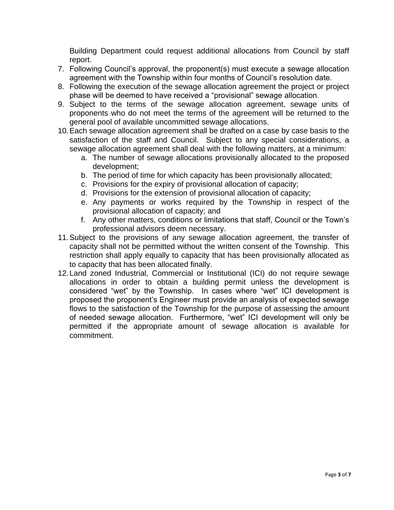Building Department could request additional allocations from Council by staff report.

- 7. Following Council's approval, the proponent(s) must execute a sewage allocation agreement with the Township within four months of Council's resolution date.
- 8. Following the execution of the sewage allocation agreement the project or project phase will be deemed to have received a "provisional" sewage allocation.
- 9. Subject to the terms of the sewage allocation agreement, sewage units of proponents who do not meet the terms of the agreement will be returned to the general pool of available uncommitted sewage allocations.
- 10.Each sewage allocation agreement shall be drafted on a case by case basis to the satisfaction of the staff and Council. Subject to any special considerations, a sewage allocation agreement shall deal with the following matters, at a minimum:
	- a. The number of sewage allocations provisionally allocated to the proposed development;
	- b. The period of time for which capacity has been provisionally allocated;
	- c. Provisions for the expiry of provisional allocation of capacity;
	- d. Provisions for the extension of provisional allocation of capacity;
	- e. Any payments or works required by the Township in respect of the provisional allocation of capacity; and
	- f. Any other matters, conditions or limitations that staff, Council or the Town's professional advisors deem necessary.
- 11.Subject to the provisions of any sewage allocation agreement, the transfer of capacity shall not be permitted without the written consent of the Township. This restriction shall apply equally to capacity that has been provisionally allocated as to capacity that has been allocated finally.
- 12.Land zoned Industrial, Commercial or Institutional (ICI) do not require sewage allocations in order to obtain a building permit unless the development is considered "wet" by the Township. In cases where "wet" ICI development is proposed the proponent's Engineer must provide an analysis of expected sewage flows to the satisfaction of the Township for the purpose of assessing the amount of needed sewage allocation. Furthermore, "wet" ICI development will only be permitted if the appropriate amount of sewage allocation is available for commitment.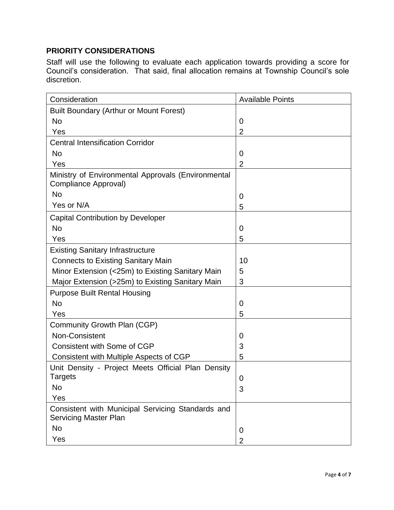# **PRIORITY CONSIDERATIONS**

Staff will use the following to evaluate each application towards providing a score for Council's consideration. That said, final allocation remains at Township Council's sole discretion.

| Consideration                                                                     | <b>Available Points</b> |
|-----------------------------------------------------------------------------------|-------------------------|
| <b>Built Boundary (Arthur or Mount Forest)</b>                                    |                         |
| <b>No</b>                                                                         | $\Omega$                |
| Yes                                                                               | $\overline{2}$          |
| <b>Central Intensification Corridor</b>                                           |                         |
| <b>No</b>                                                                         | 0                       |
| Yes                                                                               | $\overline{2}$          |
| Ministry of Environmental Approvals (Environmental<br>Compliance Approval)        |                         |
| <b>No</b>                                                                         | 0                       |
| Yes or N/A                                                                        | 5                       |
| <b>Capital Contribution by Developer</b>                                          |                         |
| <b>No</b>                                                                         | 0                       |
| Yes                                                                               | 5                       |
| <b>Existing Sanitary Infrastructure</b>                                           |                         |
| <b>Connects to Existing Sanitary Main</b>                                         | 10                      |
| Minor Extension (<25m) to Existing Sanitary Main                                  | 5                       |
| Major Extension (>25m) to Existing Sanitary Main                                  | 3                       |
| <b>Purpose Built Rental Housing</b>                                               |                         |
| <b>No</b>                                                                         | 0                       |
| Yes                                                                               | 5                       |
| Community Growth Plan (CGP)                                                       |                         |
| Non-Consistent                                                                    | 0                       |
| <b>Consistent with Some of CGP</b>                                                | 3                       |
| Consistent with Multiple Aspects of CGP                                           | 5                       |
| Unit Density - Project Meets Official Plan Density                                |                         |
| Targets                                                                           | $\boldsymbol{0}$        |
| <b>No</b>                                                                         | 3                       |
| Yes                                                                               |                         |
| Consistent with Municipal Servicing Standards and<br><b>Servicing Master Plan</b> |                         |
| No                                                                                | 0                       |
| Yes                                                                               | $\overline{2}$          |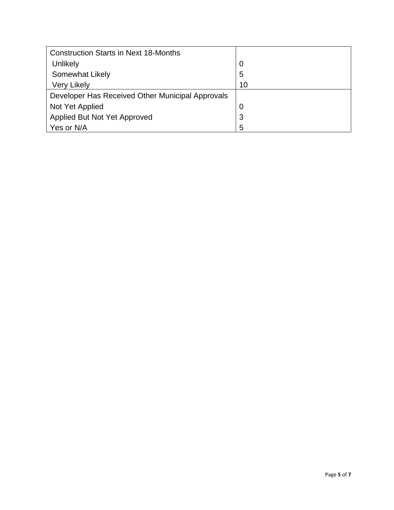| <b>Construction Starts in Next 18-Months</b>     |    |
|--------------------------------------------------|----|
| Unlikely                                         | 0  |
| Somewhat Likely                                  | 5  |
| <b>Very Likely</b>                               | 10 |
| Developer Has Received Other Municipal Approvals |    |
| Not Yet Applied                                  | O  |
| Applied But Not Yet Approved                     | 3  |
| Yes or N/A                                       | 5  |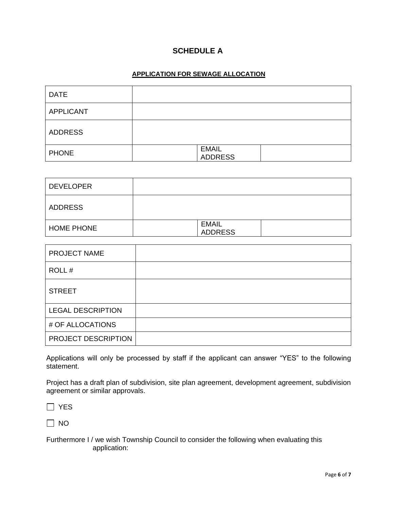## **SCHEDULE A**

#### **APPLICATION FOR SEWAGE ALLOCATION**

| <b>DATE</b>      |                                |  |
|------------------|--------------------------------|--|
| <b>APPLICANT</b> |                                |  |
| <b>ADDRESS</b>   |                                |  |
| <b>PHONE</b>     | <b>EMAIL</b><br><b>ADDRESS</b> |  |

| <b>DEVELOPER</b>  |                                |  |
|-------------------|--------------------------------|--|
| <b>ADDRESS</b>    |                                |  |
| <b>HOME PHONE</b> | <b>EMAIL</b><br><b>ADDRESS</b> |  |

| <b>PROJECT NAME</b>      |  |
|--------------------------|--|
| ROLL#                    |  |
| <b>STREET</b>            |  |
| <b>LEGAL DESCRIPTION</b> |  |
| # OF ALLOCATIONS         |  |
| PROJECT DESCRIPTION      |  |

Applications will only be processed by staff if the applicant can answer "YES" to the following statement.

Project has a draft plan of subdivision, site plan agreement, development agreement, subdivision agreement or similar approvals.

□ YES

 $\Box$  NO

Furthermore I / we wish Township Council to consider the following when evaluating this application: